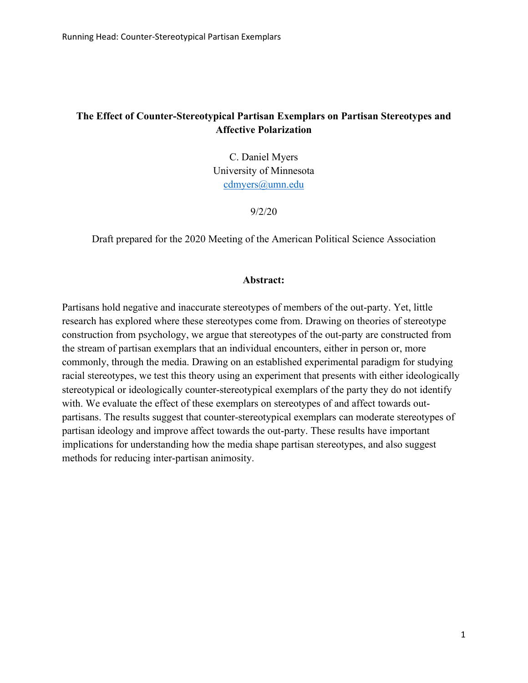# **The Effect of Counter-Stereotypical Partisan Exemplars on Partisan Stereotypes and Affective Polarization**

C. Daniel Myers University of Minnesota [cdmyers@umn.edu](mailto:cdmyers@umn.edu)

9/2/20

Draft prepared for the 2020 Meeting of the American Political Science Association

## **Abstract:**

Partisans hold negative and inaccurate stereotypes of members of the out-party. Yet, little research has explored where these stereotypes come from. Drawing on theories of stereotype construction from psychology, we argue that stereotypes of the out-party are constructed from the stream of partisan exemplars that an individual encounters, either in person or, more commonly, through the media. Drawing on an established experimental paradigm for studying racial stereotypes, we test this theory using an experiment that presents with either ideologically stereotypical or ideologically counter-stereotypical exemplars of the party they do not identify with. We evaluate the effect of these exemplars on stereotypes of and affect towards outpartisans. The results suggest that counter-stereotypical exemplars can moderate stereotypes of partisan ideology and improve affect towards the out-party. These results have important implications for understanding how the media shape partisan stereotypes, and also suggest methods for reducing inter-partisan animosity.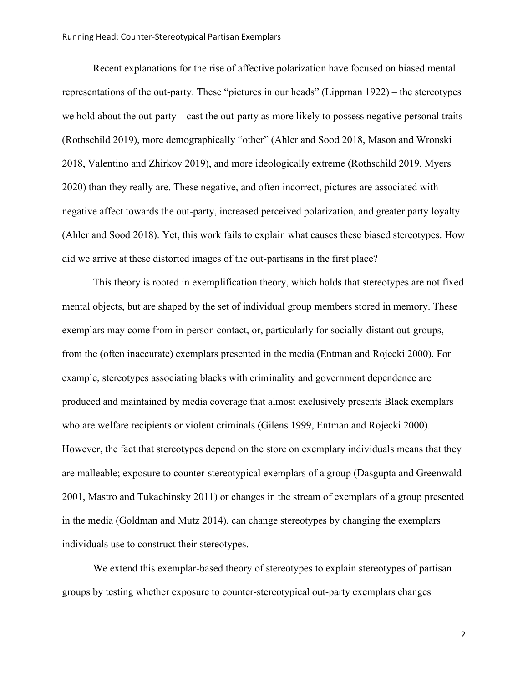Recent explanations for the rise of affective polarization have focused on biased mental representations of the out-party. These "pictures in our heads" (Lippman 1922) – the stereotypes we hold about the out-party – cast the out-party as more likely to possess negative personal traits (Rothschild 2019), more demographically "other" (Ahler and Sood 2018, Mason and Wronski 2018, Valentino and Zhirkov 2019), and more ideologically extreme (Rothschild 2019, Myers 2020) than they really are. These negative, and often incorrect, pictures are associated with negative affect towards the out-party, increased perceived polarization, and greater party loyalty (Ahler and Sood 2018). Yet, this work fails to explain what causes these biased stereotypes. How did we arrive at these distorted images of the out-partisans in the first place?

This theory is rooted in exemplification theory, which holds that stereotypes are not fixed mental objects, but are shaped by the set of individual group members stored in memory. These exemplars may come from in-person contact, or, particularly for socially-distant out-groups, from the (often inaccurate) exemplars presented in the media (Entman and Rojecki 2000). For example, stereotypes associating blacks with criminality and government dependence are produced and maintained by media coverage that almost exclusively presents Black exemplars who are welfare recipients or violent criminals (Gilens 1999, Entman and Rojecki 2000). However, the fact that stereotypes depend on the store on exemplary individuals means that they are malleable; exposure to counter-stereotypical exemplars of a group (Dasgupta and Greenwald 2001, Mastro and Tukachinsky 2011) or changes in the stream of exemplars of a group presented in the media (Goldman and Mutz 2014), can change stereotypes by changing the exemplars individuals use to construct their stereotypes.

We extend this exemplar-based theory of stereotypes to explain stereotypes of partisan groups by testing whether exposure to counter-stereotypical out-party exemplars changes

2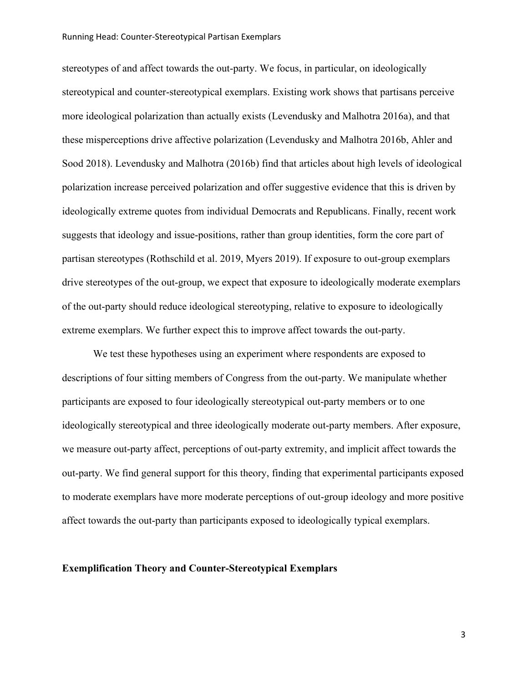#### Running Head: Counter-Stereotypical Partisan Exemplars

stereotypes of and affect towards the out-party. We focus, in particular, on ideologically stereotypical and counter-stereotypical exemplars. Existing work shows that partisans perceive more ideological polarization than actually exists (Levendusky and Malhotra 2016a), and that these misperceptions drive affective polarization (Levendusky and Malhotra 2016b, Ahler and Sood 2018). Levendusky and Malhotra (2016b) find that articles about high levels of ideological polarization increase perceived polarization and offer suggestive evidence that this is driven by ideologically extreme quotes from individual Democrats and Republicans. Finally, recent work suggests that ideology and issue-positions, rather than group identities, form the core part of partisan stereotypes (Rothschild et al. 2019, Myers 2019). If exposure to out-group exemplars drive stereotypes of the out-group, we expect that exposure to ideologically moderate exemplars of the out-party should reduce ideological stereotyping, relative to exposure to ideologically extreme exemplars. We further expect this to improve affect towards the out-party.

We test these hypotheses using an experiment where respondents are exposed to descriptions of four sitting members of Congress from the out-party. We manipulate whether participants are exposed to four ideologically stereotypical out-party members or to one ideologically stereotypical and three ideologically moderate out-party members. After exposure, we measure out-party affect, perceptions of out-party extremity, and implicit affect towards the out-party. We find general support for this theory, finding that experimental participants exposed to moderate exemplars have more moderate perceptions of out-group ideology and more positive affect towards the out-party than participants exposed to ideologically typical exemplars.

## **Exemplification Theory and Counter-Stereotypical Exemplars**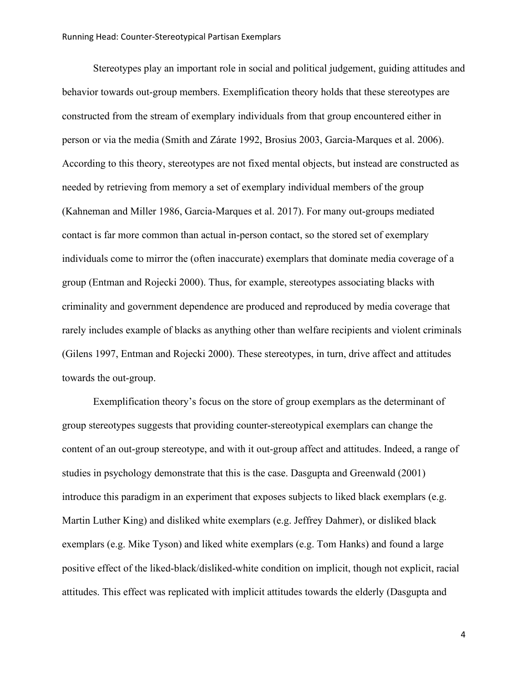Stereotypes play an important role in social and political judgement, guiding attitudes and behavior towards out-group members. Exemplification theory holds that these stereotypes are constructed from the stream of exemplary individuals from that group encountered either in person or via the media (Smith and Zárate 1992, Brosius 2003, Garcia-Marques et al. 2006). According to this theory, stereotypes are not fixed mental objects, but instead are constructed as needed by retrieving from memory a set of exemplary individual members of the group (Kahneman and Miller 1986, Garcia-Marques et al. 2017). For many out-groups mediated contact is far more common than actual in-person contact, so the stored set of exemplary individuals come to mirror the (often inaccurate) exemplars that dominate media coverage of a group (Entman and Rojecki 2000). Thus, for example, stereotypes associating blacks with criminality and government dependence are produced and reproduced by media coverage that rarely includes example of blacks as anything other than welfare recipients and violent criminals (Gilens 1997, Entman and Rojecki 2000). These stereotypes, in turn, drive affect and attitudes towards the out-group.

Exemplification theory's focus on the store of group exemplars as the determinant of group stereotypes suggests that providing counter-stereotypical exemplars can change the content of an out-group stereotype, and with it out-group affect and attitudes. Indeed, a range of studies in psychology demonstrate that this is the case. Dasgupta and Greenwald (2001) introduce this paradigm in an experiment that exposes subjects to liked black exemplars (e.g. Martin Luther King) and disliked white exemplars (e.g. Jeffrey Dahmer), or disliked black exemplars (e.g. Mike Tyson) and liked white exemplars (e.g. Tom Hanks) and found a large positive effect of the liked-black/disliked-white condition on implicit, though not explicit, racial attitudes. This effect was replicated with implicit attitudes towards the elderly (Dasgupta and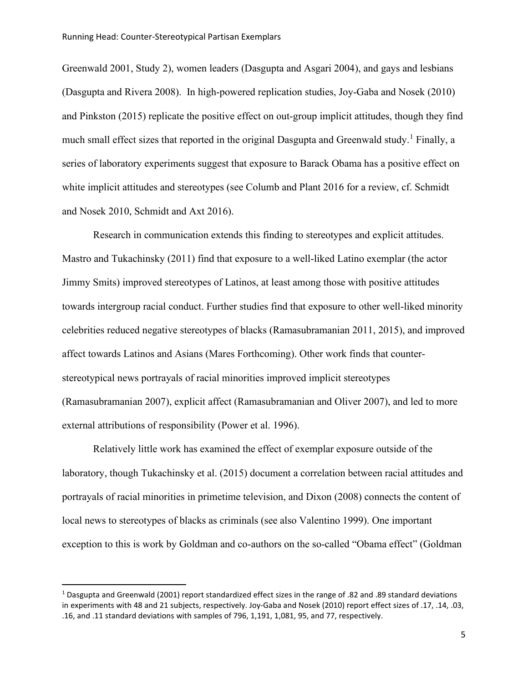Greenwald 2001, Study 2), women leaders (Dasgupta and Asgari 2004), and gays and lesbians (Dasgupta and Rivera 2008). In high-powered replication studies, Joy-Gaba and Nosek (2010) and Pinkston (2015) replicate the positive effect on out-group implicit attitudes, though they find much small effect sizes that reported in the original Dasgupta and Greenwald study.<sup>[1](#page-4-0)</sup> Finally, a series of laboratory experiments suggest that exposure to Barack Obama has a positive effect on white implicit attitudes and stereotypes (see Columb and Plant 2016 for a review, cf. Schmidt and Nosek 2010, Schmidt and Axt 2016).

Research in communication extends this finding to stereotypes and explicit attitudes. Mastro and Tukachinsky (2011) find that exposure to a well-liked Latino exemplar (the actor Jimmy Smits) improved stereotypes of Latinos, at least among those with positive attitudes towards intergroup racial conduct. Further studies find that exposure to other well-liked minority celebrities reduced negative stereotypes of blacks (Ramasubramanian 2011, 2015), and improved affect towards Latinos and Asians (Mares Forthcoming). Other work finds that counterstereotypical news portrayals of racial minorities improved implicit stereotypes (Ramasubramanian 2007), explicit affect (Ramasubramanian and Oliver 2007), and led to more external attributions of responsibility (Power et al. 1996).

Relatively little work has examined the effect of exemplar exposure outside of the laboratory, though Tukachinsky et al. (2015) document a correlation between racial attitudes and portrayals of racial minorities in primetime television, and Dixon (2008) connects the content of local news to stereotypes of blacks as criminals (see also Valentino 1999). One important exception to this is work by Goldman and co-authors on the so-called "Obama effect" (Goldman

<span id="page-4-0"></span><sup>&</sup>lt;sup>1</sup> Dasgupta and Greenwald (2001) report standardized effect sizes in the range of .82 and .89 standard deviations in experiments with 48 and 21 subjects, respectively. Joy-Gaba and Nosek (2010) report effect sizes of .17, .14, .03, .16, and .11 standard deviations with samples of 796, 1,191, 1,081, 95, and 77, respectively.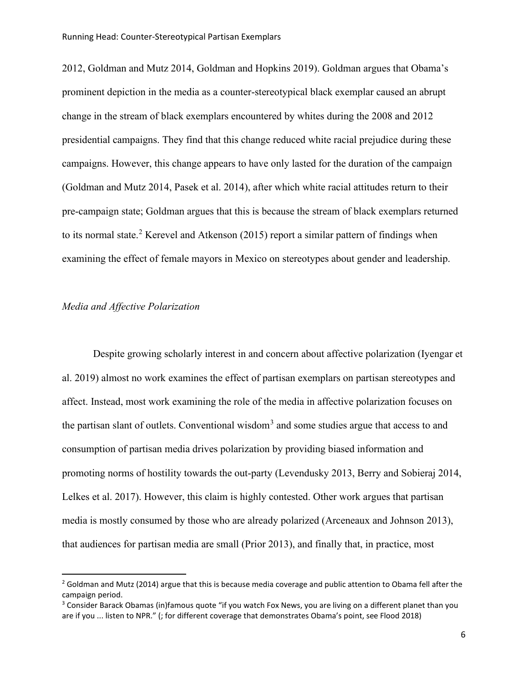2012, Goldman and Mutz 2014, Goldman and Hopkins 2019). Goldman argues that Obama's prominent depiction in the media as a counter-stereotypical black exemplar caused an abrupt change in the stream of black exemplars encountered by whites during the 2008 and 2012 presidential campaigns. They find that this change reduced white racial prejudice during these campaigns. However, this change appears to have only lasted for the duration of the campaign (Goldman and Mutz 2014, Pasek et al. 2014), after which white racial attitudes return to their pre-campaign state; Goldman argues that this is because the stream of black exemplars returned to its normal state.<sup>[2](#page-5-0)</sup> Kerevel and Atkenson (2015) report a similar pattern of findings when examining the effect of female mayors in Mexico on stereotypes about gender and leadership.

## *Media and Affective Polarization*

Despite growing scholarly interest in and concern about affective polarization (Iyengar et al. 2019) almost no work examines the effect of partisan exemplars on partisan stereotypes and affect. Instead, most work examining the role of the media in affective polarization focuses on the partisan slant of outlets. Conventional wisdom<sup>[3](#page-5-1)</sup> and some studies argue that access to and consumption of partisan media drives polarization by providing biased information and promoting norms of hostility towards the out-party (Levendusky 2013, Berry and Sobieraj 2014, Lelkes et al. 2017). However, this claim is highly contested. Other work argues that partisan media is mostly consumed by those who are already polarized (Arceneaux and Johnson 2013), that audiences for partisan media are small (Prior 2013), and finally that, in practice, most

<span id="page-5-0"></span> $2$  Goldman and Mutz (2014) argue that this is because media coverage and public attention to Obama fell after the campaign period.

<span id="page-5-1"></span><sup>&</sup>lt;sup>3</sup> Consider Barack Obamas (in)famous quote "if you watch Fox News, you are living on a different planet than you are if you ... listen to NPR." (; for different coverage that demonstrates Obama's point, see Flood 2018)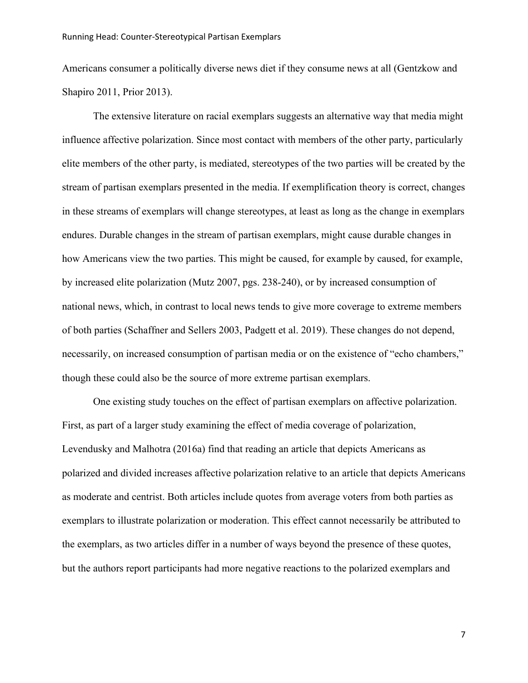Americans consumer a politically diverse news diet if they consume news at all (Gentzkow and Shapiro 2011, Prior 2013).

The extensive literature on racial exemplars suggests an alternative way that media might influence affective polarization. Since most contact with members of the other party, particularly elite members of the other party, is mediated, stereotypes of the two parties will be created by the stream of partisan exemplars presented in the media. If exemplification theory is correct, changes in these streams of exemplars will change stereotypes, at least as long as the change in exemplars endures. Durable changes in the stream of partisan exemplars, might cause durable changes in how Americans view the two parties. This might be caused, for example by caused, for example, by increased elite polarization (Mutz 2007, pgs. 238-240), or by increased consumption of national news, which, in contrast to local news tends to give more coverage to extreme members of both parties (Schaffner and Sellers 2003, Padgett et al. 2019). These changes do not depend, necessarily, on increased consumption of partisan media or on the existence of "echo chambers," though these could also be the source of more extreme partisan exemplars.

One existing study touches on the effect of partisan exemplars on affective polarization. First, as part of a larger study examining the effect of media coverage of polarization, Levendusky and Malhotra (2016a) find that reading an article that depicts Americans as polarized and divided increases affective polarization relative to an article that depicts Americans as moderate and centrist. Both articles include quotes from average voters from both parties as exemplars to illustrate polarization or moderation. This effect cannot necessarily be attributed to the exemplars, as two articles differ in a number of ways beyond the presence of these quotes, but the authors report participants had more negative reactions to the polarized exemplars and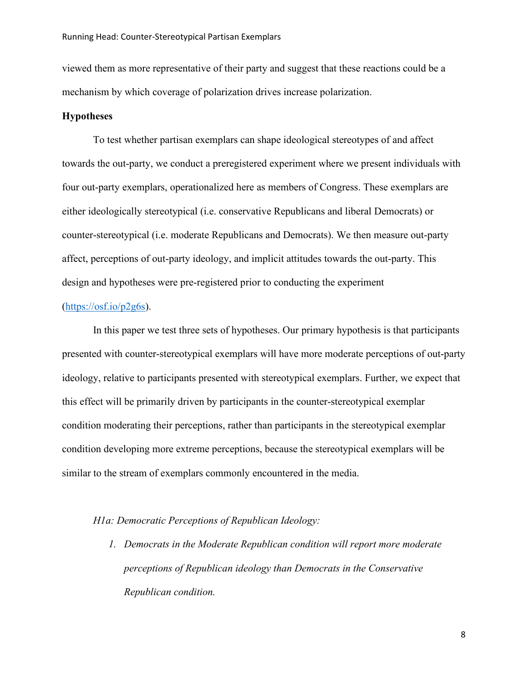viewed them as more representative of their party and suggest that these reactions could be a mechanism by which coverage of polarization drives increase polarization.

## **Hypotheses**

To test whether partisan exemplars can shape ideological stereotypes of and affect towards the out-party, we conduct a preregistered experiment where we present individuals with four out-party exemplars, operationalized here as members of Congress. These exemplars are either ideologically stereotypical (i.e. conservative Republicans and liberal Democrats) or counter-stereotypical (i.e. moderate Republicans and Democrats). We then measure out-party affect, perceptions of out-party ideology, and implicit attitudes towards the out-party. This design and hypotheses were pre-registered prior to conducting the experiment

#### $(htips://osf.io/p2g6s).$

In this paper we test three sets of hypotheses. Our primary hypothesis is that participants presented with counter-stereotypical exemplars will have more moderate perceptions of out-party ideology, relative to participants presented with stereotypical exemplars. Further, we expect that this effect will be primarily driven by participants in the counter-stereotypical exemplar condition moderating their perceptions, rather than participants in the stereotypical exemplar condition developing more extreme perceptions, because the stereotypical exemplars will be similar to the stream of exemplars commonly encountered in the media.

## *H1a: Democratic Perceptions of Republican Ideology:*

*1. Democrats in the Moderate Republican condition will report more moderate perceptions of Republican ideology than Democrats in the Conservative Republican condition.*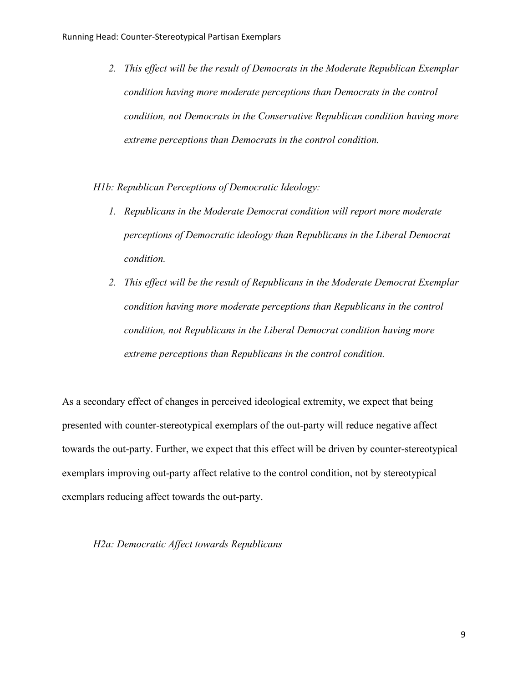- *2. This effect will be the result of Democrats in the Moderate Republican Exemplar condition having more moderate perceptions than Democrats in the control condition, not Democrats in the Conservative Republican condition having more extreme perceptions than Democrats in the control condition.*
- *H1b: Republican Perceptions of Democratic Ideology:*
	- *1. Republicans in the Moderate Democrat condition will report more moderate perceptions of Democratic ideology than Republicans in the Liberal Democrat condition.*
	- *2. This effect will be the result of Republicans in the Moderate Democrat Exemplar condition having more moderate perceptions than Republicans in the control condition, not Republicans in the Liberal Democrat condition having more extreme perceptions than Republicans in the control condition.*

As a secondary effect of changes in perceived ideological extremity, we expect that being presented with counter-stereotypical exemplars of the out-party will reduce negative affect towards the out-party. Further, we expect that this effect will be driven by counter-stereotypical exemplars improving out-party affect relative to the control condition, not by stereotypical exemplars reducing affect towards the out-party.

## *H2a: Democratic Affect towards Republicans*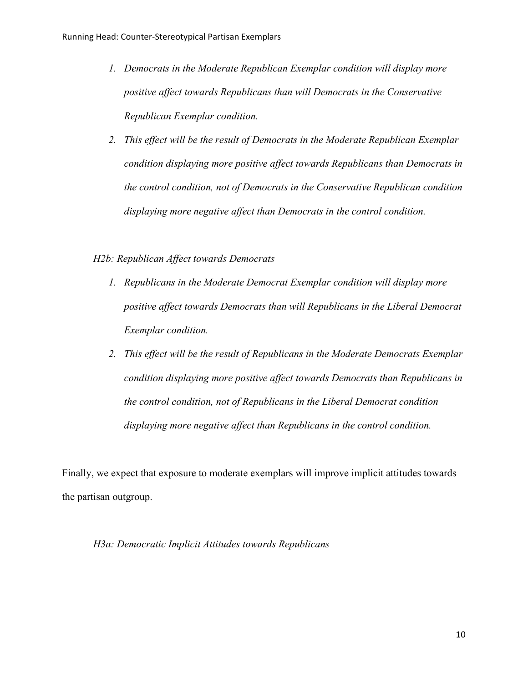- *1. Democrats in the Moderate Republican Exemplar condition will display more positive affect towards Republicans than will Democrats in the Conservative Republican Exemplar condition.*
- *2. This effect will be the result of Democrats in the Moderate Republican Exemplar condition displaying more positive affect towards Republicans than Democrats in the control condition, not of Democrats in the Conservative Republican condition displaying more negative affect than Democrats in the control condition.*

## *H2b: Republican Affect towards Democrats*

- *1. Republicans in the Moderate Democrat Exemplar condition will display more positive affect towards Democrats than will Republicans in the Liberal Democrat Exemplar condition.*
- *2. This effect will be the result of Republicans in the Moderate Democrats Exemplar condition displaying more positive affect towards Democrats than Republicans in the control condition, not of Republicans in the Liberal Democrat condition displaying more negative affect than Republicans in the control condition.*

Finally, we expect that exposure to moderate exemplars will improve implicit attitudes towards the partisan outgroup.

## *H3a: Democratic Implicit Attitudes towards Republicans*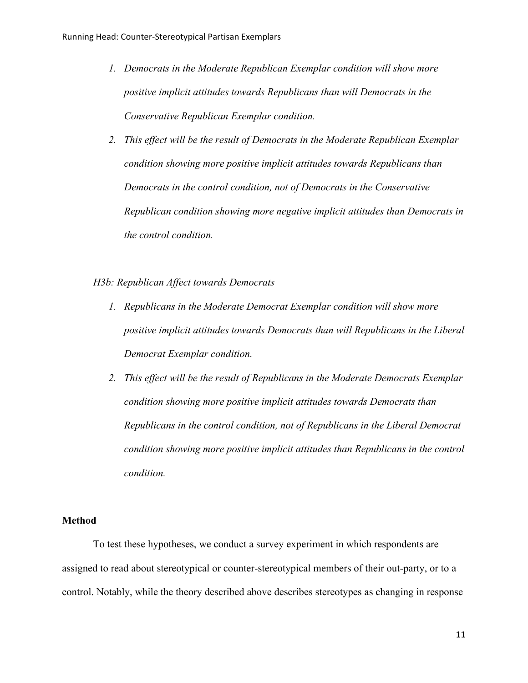- *1. Democrats in the Moderate Republican Exemplar condition will show more positive implicit attitudes towards Republicans than will Democrats in the Conservative Republican Exemplar condition.*
- *2. This effect will be the result of Democrats in the Moderate Republican Exemplar condition showing more positive implicit attitudes towards Republicans than Democrats in the control condition, not of Democrats in the Conservative Republican condition showing more negative implicit attitudes than Democrats in the control condition.*

## *H3b: Republican Affect towards Democrats*

- *1. Republicans in the Moderate Democrat Exemplar condition will show more positive implicit attitudes towards Democrats than will Republicans in the Liberal Democrat Exemplar condition.*
- *2. This effect will be the result of Republicans in the Moderate Democrats Exemplar condition showing more positive implicit attitudes towards Democrats than Republicans in the control condition, not of Republicans in the Liberal Democrat condition showing more positive implicit attitudes than Republicans in the control condition.*

## **Method**

To test these hypotheses, we conduct a survey experiment in which respondents are assigned to read about stereotypical or counter-stereotypical members of their out-party, or to a control. Notably, while the theory described above describes stereotypes as changing in response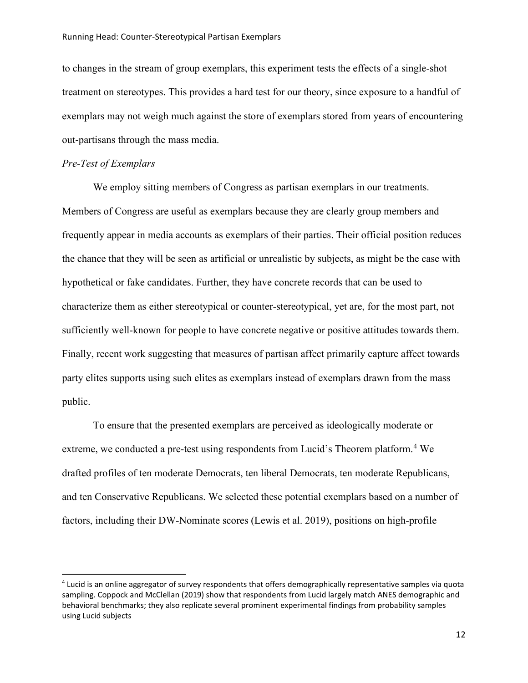#### Running Head: Counter-Stereotypical Partisan Exemplars

to changes in the stream of group exemplars, this experiment tests the effects of a single-shot treatment on stereotypes. This provides a hard test for our theory, since exposure to a handful of exemplars may not weigh much against the store of exemplars stored from years of encountering out-partisans through the mass media.

## *Pre-Test of Exemplars*

We employ sitting members of Congress as partisan exemplars in our treatments. Members of Congress are useful as exemplars because they are clearly group members and frequently appear in media accounts as exemplars of their parties. Their official position reduces the chance that they will be seen as artificial or unrealistic by subjects, as might be the case with hypothetical or fake candidates. Further, they have concrete records that can be used to characterize them as either stereotypical or counter-stereotypical, yet are, for the most part, not sufficiently well-known for people to have concrete negative or positive attitudes towards them. Finally, recent work suggesting that measures of partisan affect primarily capture affect towards party elites supports using such elites as exemplars instead of exemplars drawn from the mass public.

To ensure that the presented exemplars are perceived as ideologically moderate or extreme, we conducted a pre-test using respondents from Lucid's Theorem platform.<sup>[4](#page-11-0)</sup> We drafted profiles of ten moderate Democrats, ten liberal Democrats, ten moderate Republicans, and ten Conservative Republicans. We selected these potential exemplars based on a number of factors, including their DW-Nominate scores (Lewis et al. 2019), positions on high-profile

<span id="page-11-0"></span><sup>4</sup> Lucid is an online aggregator of survey respondents that offers demographically representative samples via quota sampling. Coppock and McClellan (2019) show that respondents from Lucid largely match ANES demographic and behavioral benchmarks; they also replicate several prominent experimental findings from probability samples using Lucid subjects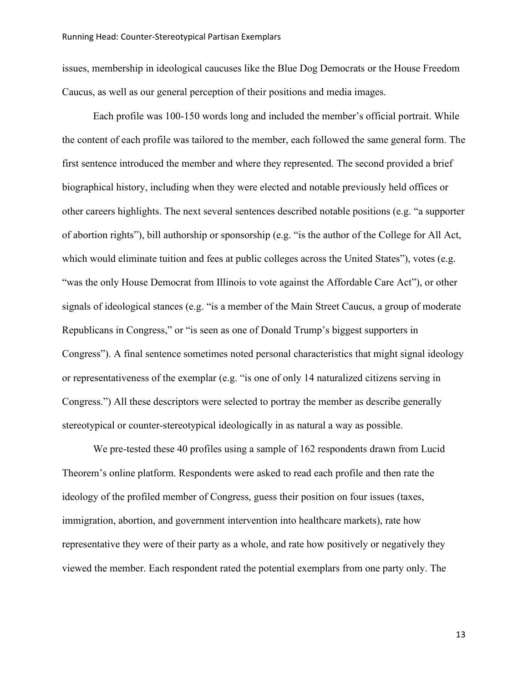issues, membership in ideological caucuses like the Blue Dog Democrats or the House Freedom Caucus, as well as our general perception of their positions and media images.

Each profile was 100-150 words long and included the member's official portrait. While the content of each profile was tailored to the member, each followed the same general form. The first sentence introduced the member and where they represented. The second provided a brief biographical history, including when they were elected and notable previously held offices or other careers highlights. The next several sentences described notable positions (e.g. "a supporter of abortion rights"), bill authorship or sponsorship (e.g. "is the author of the College for All Act, which would eliminate tuition and fees at public colleges across the United States"), votes (e.g. "was the only House Democrat from Illinois to vote against the Affordable Care Act"), or other signals of ideological stances (e.g. "is a member of the Main Street Caucus, a group of moderate Republicans in Congress," or "is seen as one of Donald Trump's biggest supporters in Congress"). A final sentence sometimes noted personal characteristics that might signal ideology or representativeness of the exemplar (e.g. "is one of only 14 naturalized citizens serving in Congress.") All these descriptors were selected to portray the member as describe generally stereotypical or counter-stereotypical ideologically in as natural a way as possible.

We pre-tested these 40 profiles using a sample of 162 respondents drawn from Lucid Theorem's online platform. Respondents were asked to read each profile and then rate the ideology of the profiled member of Congress, guess their position on four issues (taxes, immigration, abortion, and government intervention into healthcare markets), rate how representative they were of their party as a whole, and rate how positively or negatively they viewed the member. Each respondent rated the potential exemplars from one party only. The

13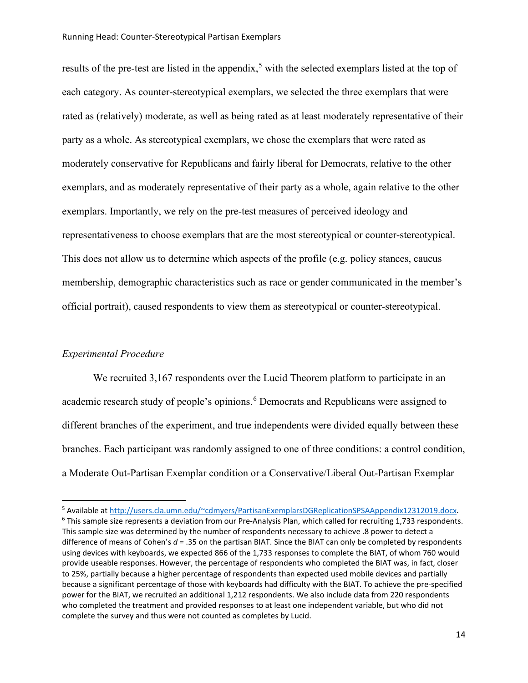#### Running Head: Counter-Stereotypical Partisan Exemplars

results of the pre-test are listed in the appendix,<sup>[5](#page-13-0)</sup> with the selected exemplars listed at the top of each category. As counter-stereotypical exemplars, we selected the three exemplars that were rated as (relatively) moderate, as well as being rated as at least moderately representative of their party as a whole. As stereotypical exemplars, we chose the exemplars that were rated as moderately conservative for Republicans and fairly liberal for Democrats, relative to the other exemplars, and as moderately representative of their party as a whole, again relative to the other exemplars. Importantly, we rely on the pre-test measures of perceived ideology and representativeness to choose exemplars that are the most stereotypical or counter-stereotypical. This does not allow us to determine which aspects of the profile (e.g. policy stances, caucus membership, demographic characteristics such as race or gender communicated in the member's official portrait), caused respondents to view them as stereotypical or counter-stereotypical.

## *Experimental Procedure*

We recruited 3,167 respondents over the Lucid Theorem platform to participate in an academic research study of people's opinions.<sup>[6](#page-13-1)</sup> Democrats and Republicans were assigned to different branches of the experiment, and true independents were divided equally between these branches. Each participant was randomly assigned to one of three conditions: a control condition, a Moderate Out-Partisan Exemplar condition or a Conservative/Liberal Out-Partisan Exemplar

<span id="page-13-0"></span><sup>5</sup> Available at [http://users.cla.umn.edu/~cdmyers/PartisanExemplarsDGReplicationSPSAAppendix12312019.docx.](http://users.cla.umn.edu/%7Ecdmyers/PartisanExemplarsDGReplicationSPSAAppendix12312019.docx)

<span id="page-13-1"></span> $6$  This sample size represents a deviation from our Pre-Analysis Plan, which called for recruiting 1,733 respondents. This sample size was determined by the number of respondents necessary to achieve .8 power to detect a difference of means of Cohen's *d* = .35 on the partisan BIAT. Since the BIAT can only be completed by respondents using devices with keyboards, we expected 866 of the 1,733 responses to complete the BIAT, of whom 760 would provide useable responses. However, the percentage of respondents who completed the BIAT was, in fact, closer to 25%, partially because a higher percentage of respondents than expected used mobile devices and partially because a significant percentage of those with keyboards had difficulty with the BIAT. To achieve the pre-specified power for the BIAT, we recruited an additional 1,212 respondents. We also include data from 220 respondents who completed the treatment and provided responses to at least one independent variable, but who did not complete the survey and thus were not counted as completes by Lucid.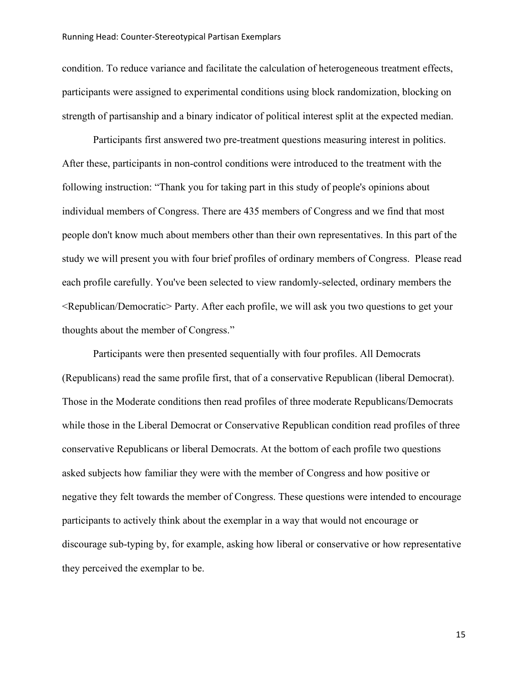condition. To reduce variance and facilitate the calculation of heterogeneous treatment effects, participants were assigned to experimental conditions using block randomization, blocking on strength of partisanship and a binary indicator of political interest split at the expected median.

Participants first answered two pre-treatment questions measuring interest in politics. After these, participants in non-control conditions were introduced to the treatment with the following instruction: "Thank you for taking part in this study of people's opinions about individual members of Congress. There are 435 members of Congress and we find that most people don't know much about members other than their own representatives. In this part of the study we will present you with four brief profiles of ordinary members of Congress. Please read each profile carefully. You've been selected to view randomly-selected, ordinary members the <Republican/Democratic> Party. After each profile, we will ask you two questions to get your thoughts about the member of Congress."

Participants were then presented sequentially with four profiles. All Democrats (Republicans) read the same profile first, that of a conservative Republican (liberal Democrat). Those in the Moderate conditions then read profiles of three moderate Republicans/Democrats while those in the Liberal Democrat or Conservative Republican condition read profiles of three conservative Republicans or liberal Democrats. At the bottom of each profile two questions asked subjects how familiar they were with the member of Congress and how positive or negative they felt towards the member of Congress. These questions were intended to encourage participants to actively think about the exemplar in a way that would not encourage or discourage sub-typing by, for example, asking how liberal or conservative or how representative they perceived the exemplar to be.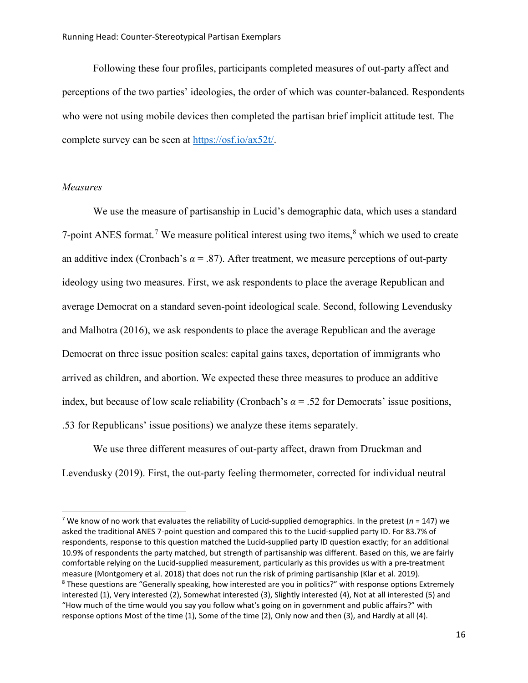Following these four profiles, participants completed measures of out-party affect and perceptions of the two parties' ideologies, the order of which was counter-balanced. Respondents who were not using mobile devices then completed the partisan brief implicit attitude test. The complete survey can be seen at [https://osf.io/ax52t/.](https://osf.io/ax52t/)

## *Measures*

We use the measure of partisanship in Lucid's demographic data, which uses a standard [7](#page-15-0)-point ANES format.<sup>7</sup> We measure political interest using two items,<sup>[8](#page-15-1)</sup> which we used to create an additive index (Cronbach's  $\alpha$  = .87). After treatment, we measure perceptions of out-party ideology using two measures. First, we ask respondents to place the average Republican and average Democrat on a standard seven-point ideological scale. Second, following Levendusky and Malhotra (2016), we ask respondents to place the average Republican and the average Democrat on three issue position scales: capital gains taxes, deportation of immigrants who arrived as children, and abortion. We expected these three measures to produce an additive index, but because of low scale reliability (Cronbach's  $\alpha$  = .52 for Democrats' issue positions, .53 for Republicans' issue positions) we analyze these items separately.

We use three different measures of out-party affect, drawn from Druckman and Levendusky (2019). First, the out-party feeling thermometer, corrected for individual neutral

<span id="page-15-1"></span><span id="page-15-0"></span><sup>&</sup>lt;sup>7</sup> We know of no work that evaluates the reliability of Lucid-supplied demographics. In the pretest ( $n = 147$ ) we asked the traditional ANES 7-point question and compared this to the Lucid-supplied party ID. For 83.7% of respondents, response to this question matched the Lucid-supplied party ID question exactly; for an additional 10.9% of respondents the party matched, but strength of partisanship was different. Based on this, we are fairly comfortable relying on the Lucid-supplied measurement, particularly as this provides us with a pre-treatment measure (Montgomery et al. 2018) that does not run the risk of priming partisanship (Klar et al. 2019). <sup>8</sup> These questions are "Generally speaking, how interested are you in politics?" with response options Extremely interested (1), Very interested (2), Somewhat interested (3), Slightly interested (4), Not at all interested (5) and "How much of the time would you say you follow what's going on in government and public affairs?" with response options Most of the time (1), Some of the time (2), Only now and then (3), and Hardly at all (4).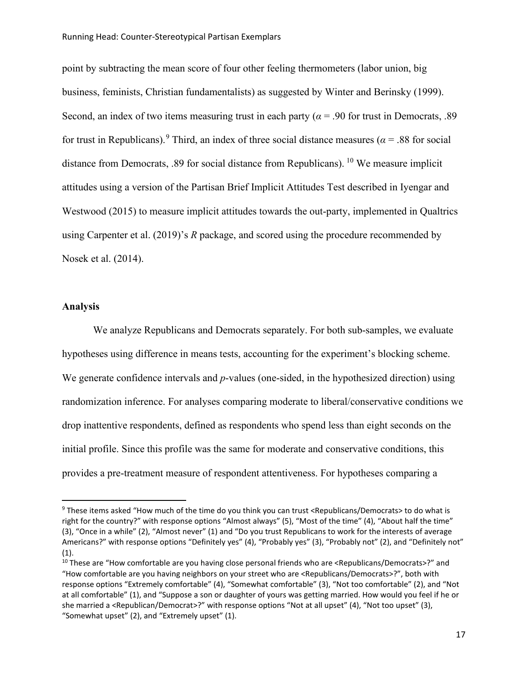point by subtracting the mean score of four other feeling thermometers (labor union, big business, feminists, Christian fundamentalists) as suggested by Winter and Berinsky (1999). Second, an index of two items measuring trust in each party ( $\alpha$  = .90 for trust in Democrats, .89 for trust in Republicans).<sup>[9](#page-16-0)</sup> Third, an index of three social distance measures ( $\alpha$  = .88 for social distance from Democrats, .89 for social distance from Republicans). [10](#page-16-1) We measure implicit attitudes using a version of the Partisan Brief Implicit Attitudes Test described in Iyengar and Westwood (2015) to measure implicit attitudes towards the out-party, implemented in Qualtrics using Carpenter et al. (2019)'s *R* package, and scored using the procedure recommended by Nosek et al. (2014).

## **Analysis**

We analyze Republicans and Democrats separately. For both sub-samples, we evaluate hypotheses using difference in means tests, accounting for the experiment's blocking scheme. We generate confidence intervals and *p*-values (one-sided, in the hypothesized direction) using randomization inference. For analyses comparing moderate to liberal/conservative conditions we drop inattentive respondents, defined as respondents who spend less than eight seconds on the initial profile. Since this profile was the same for moderate and conservative conditions, this provides a pre-treatment measure of respondent attentiveness. For hypotheses comparing a

<span id="page-16-0"></span><sup>&</sup>lt;sup>9</sup> These items asked "How much of the time do you think you can trust <Republicans/Democrats> to do what is right for the country?" with response options "Almost always" (5), "Most of the time" (4), "About half the time" (3), "Once in a while" (2), "Almost never" (1) and "Do you trust Republicans to work for the interests of average Americans?" with response options "Definitely yes" (4), "Probably yes" (3), "Probably not" (2), and "Definitely not"  $(1).$ 

<span id="page-16-1"></span><sup>&</sup>lt;sup>10</sup> These are "How comfortable are you having close personal friends who are <Republicans/Democrats>?" and "How comfortable are you having neighbors on your street who are <Republicans/Democrats>?", both with response options "Extremely comfortable" (4), "Somewhat comfortable" (3), "Not too comfortable" (2), and "Not at all comfortable" (1), and "Suppose a son or daughter of yours was getting married. How would you feel if he or she married a <Republican/Democrat>?" with response options "Not at all upset" (4), "Not too upset" (3), "Somewhat upset" (2), and "Extremely upset" (1).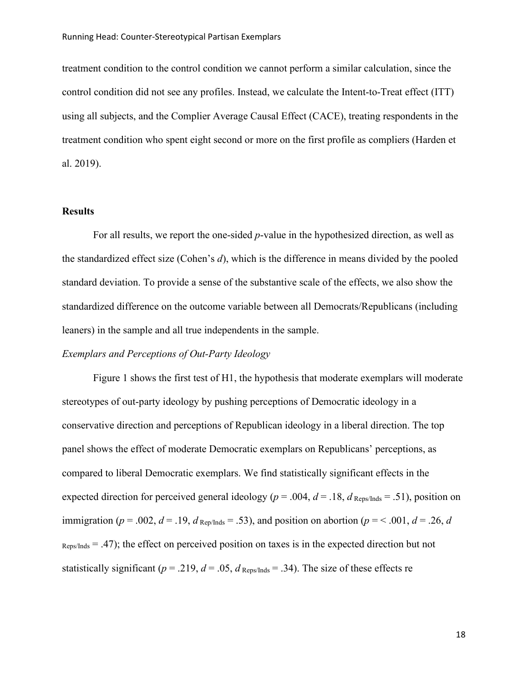treatment condition to the control condition we cannot perform a similar calculation, since the control condition did not see any profiles. Instead, we calculate the Intent-to-Treat effect (ITT) using all subjects, and the Complier Average Causal Effect (CACE), treating respondents in the treatment condition who spent eight second or more on the first profile as compliers (Harden et al. 2019).

#### **Results**

For all results, we report the one-sided *p*-value in the hypothesized direction, as well as the standardized effect size (Cohen's *d*), which is the difference in means divided by the pooled standard deviation. To provide a sense of the substantive scale of the effects, we also show the standardized difference on the outcome variable between all Democrats/Republicans (including leaners) in the sample and all true independents in the sample.

## *Exemplars and Perceptions of Out-Party Ideology*

Figure 1 shows the first test of H1, the hypothesis that moderate exemplars will moderate stereotypes of out-party ideology by pushing perceptions of Democratic ideology in a conservative direction and perceptions of Republican ideology in a liberal direction. The top panel shows the effect of moderate Democratic exemplars on Republicans' perceptions, as compared to liberal Democratic exemplars. We find statistically significant effects in the expected direction for perceived general ideology ( $p = .004$ ,  $d = .18$ ,  $d$  Reps/Inds = .51), position on immigration ( $p = .002$ ,  $d = .19$ ,  $d_{\text{Rep/Inds}} = .53$ ), and position on abortion ( $p = < .001$ ,  $d = .26$ , *d*  $Res/Inds = .47$ ); the effect on perceived position on taxes is in the expected direction but not statistically significant ( $p = .219$ ,  $d = .05$ ,  $d_{\text{Reps/Inds}} = .34$ ). The size of these effects re

18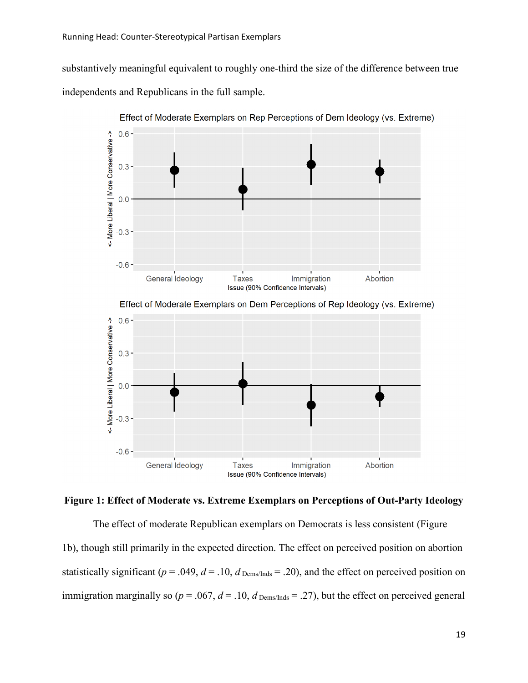$0.0$ 

 $-0.3 -$ 

 $-0.6 -$ 

General Ideology

substantively meaningful equivalent to roughly one-third the size of the difference between true independents and Republicans in the full sample.



Effect of Moderate Exemplars on Rep Perceptions of Dem Ideology (vs. Extreme)

**Figure 1: Effect of Moderate vs. Extreme Exemplars on Perceptions of Out-Party Ideology**

Issue (90% Confidence Intervals)

**Taxes** 

Immigration

Abortion

The effect of moderate Republican exemplars on Democrats is less consistent (Figure 1b), though still primarily in the expected direction. The effect on perceived position on abortion statistically significant ( $p = .049$ ,  $d = .10$ ,  $d$  Dems/Inds = .20), and the effect on perceived position on immigration marginally so ( $p = .067$ ,  $d = .10$ ,  $d_{Dems/Inds} = .27$ ), but the effect on perceived general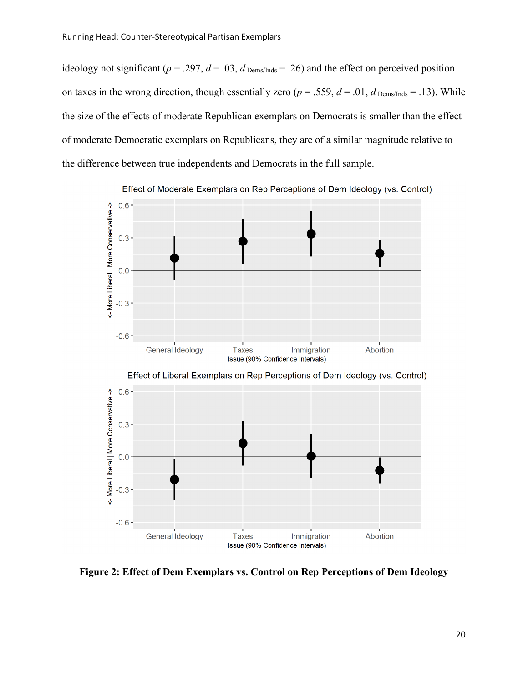ideology not significant ( $p = .297$ ,  $d = .03$ ,  $d$  Dems/Inds = .26) and the effect on perceived position on taxes in the wrong direction, though essentially zero ( $p = .559$ ,  $d = .01$ ,  $d_{Dems/Inds} = .13$ ). While the size of the effects of moderate Republican exemplars on Democrats is smaller than the effect of moderate Democratic exemplars on Republicans, they are of a similar magnitude relative to the difference between true independents and Democrats in the full sample.



Effect of Moderate Exemplars on Rep Perceptions of Dem Ideology (vs. Control)

**Figure 2: Effect of Dem Exemplars vs. Control on Rep Perceptions of Dem Ideology**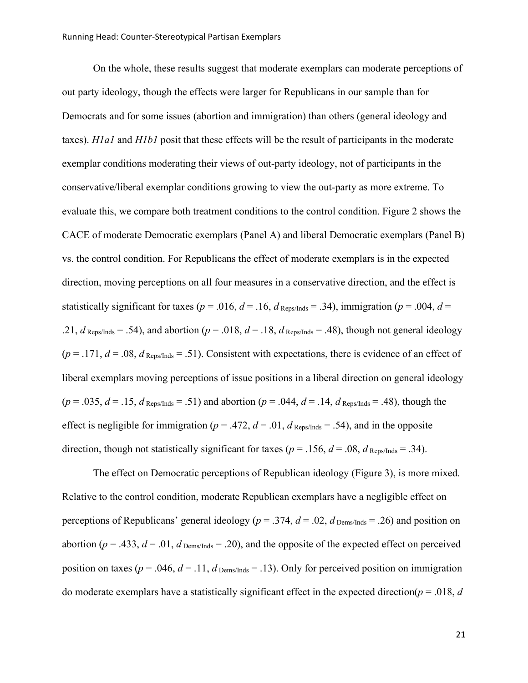On the whole, these results suggest that moderate exemplars can moderate perceptions of out party ideology, though the effects were larger for Republicans in our sample than for Democrats and for some issues (abortion and immigration) than others (general ideology and taxes). *H1a1* and *H1b1* posit that these effects will be the result of participants in the moderate exemplar conditions moderating their views of out-party ideology, not of participants in the conservative/liberal exemplar conditions growing to view the out-party as more extreme. To evaluate this, we compare both treatment conditions to the control condition. Figure 2 shows the CACE of moderate Democratic exemplars (Panel A) and liberal Democratic exemplars (Panel B) vs. the control condition. For Republicans the effect of moderate exemplars is in the expected direction, moving perceptions on all four measures in a conservative direction, and the effect is statistically significant for taxes ( $p = .016$ ,  $d = .16$ ,  $d$  Reps/Inds = .34), immigration ( $p = .004$ ,  $d =$ .21,  $d_{\text{Reps/Inds}} = .54$ ), and abortion ( $p = .018$ ,  $d = .18$ ,  $d_{\text{Reps/Inds}} = .48$ ), though not general ideology  $(p = .171, d = .08, d_{\text{Reps/Inds}} = .51)$ . Consistent with expectations, there is evidence of an effect of liberal exemplars moving perceptions of issue positions in a liberal direction on general ideology  $(p = .035, d = .15, d_{\text{Reps/Inds}} = .51)$  and abortion  $(p = .044, d = .14, d_{\text{Reps/Inds}} = .48)$ , though the effect is negligible for immigration ( $p = .472$ ,  $d = .01$ ,  $d_{\text{Reps/Inds}} = .54$ ), and in the opposite direction, though not statistically significant for taxes ( $p = .156$ ,  $d = .08$ ,  $d_{\text{Reos/Inds}} = .34$ ).

The effect on Democratic perceptions of Republican ideology (Figure 3), is more mixed. Relative to the control condition, moderate Republican exemplars have a negligible effect on perceptions of Republicans' general ideology ( $p = .374$ ,  $d = .02$ ,  $d_{\text{Dems/Inds}} = .26$ ) and position on abortion ( $p = .433$ ,  $d = .01$ ,  $d$  Dems/Inds = .20), and the opposite of the expected effect on perceived position on taxes ( $p = .046$ ,  $d = .11$ ,  $d_{Dems/Inds} = .13$ ). Only for perceived position on immigration do moderate exemplars have a statistically significant effect in the expected direction(*p* = .018, *d*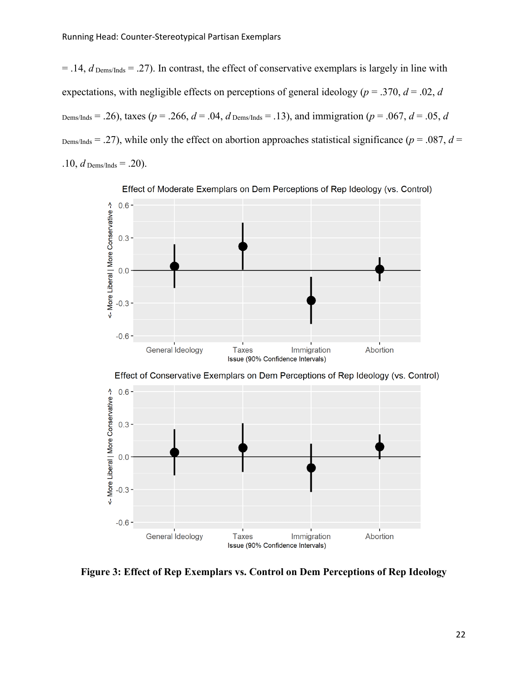$0.3 -$ 

 $0.0$ 

 $-0.3 -$ 

 $-0.6 -$ 

General Ideology

 $= .14$ , *d* Dems/Inds  $= .27$ ). In contrast, the effect of conservative exemplars is largely in line with expectations, with negligible effects on perceptions of general ideology (*p* = .370, *d* = .02, *d* Dems/Inds = .26), taxes ( $p = .266$ ,  $d = .04$ ,  $d$  Dems/Inds = .13), and immigration ( $p = .067$ ,  $d = .05$ ,  $d$  $D_{\text{ems/Inds}} = .27$ , while only the effect on abortion approaches statistical significance ( $p = .087$ ,  $d =$ .10,  $d$  Dems/Inds = .20).





**Figure 3: Effect of Rep Exemplars vs. Control on Dem Perceptions of Rep Ideology**

Issue (90% Confidence Intervals)

Immigration

**Taxes** 

Abortion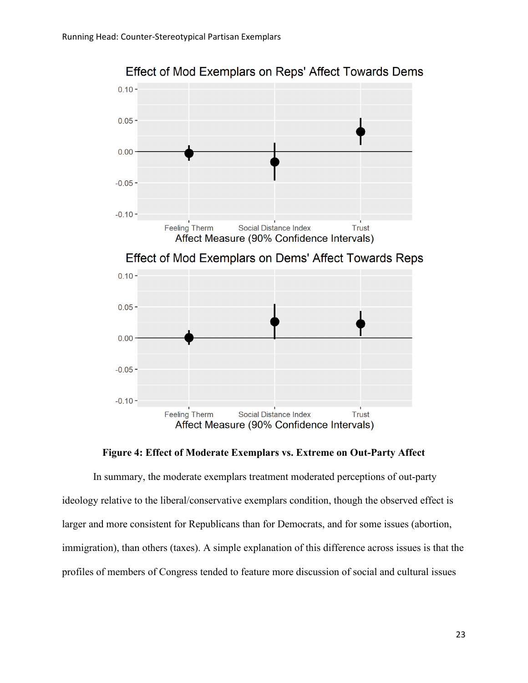

Effect of Mod Exemplars on Reps' Affect Towards Dems



In summary, the moderate exemplars treatment moderated perceptions of out-party ideology relative to the liberal/conservative exemplars condition, though the observed effect is larger and more consistent for Republicans than for Democrats, and for some issues (abortion, immigration), than others (taxes). A simple explanation of this difference across issues is that the profiles of members of Congress tended to feature more discussion of social and cultural issues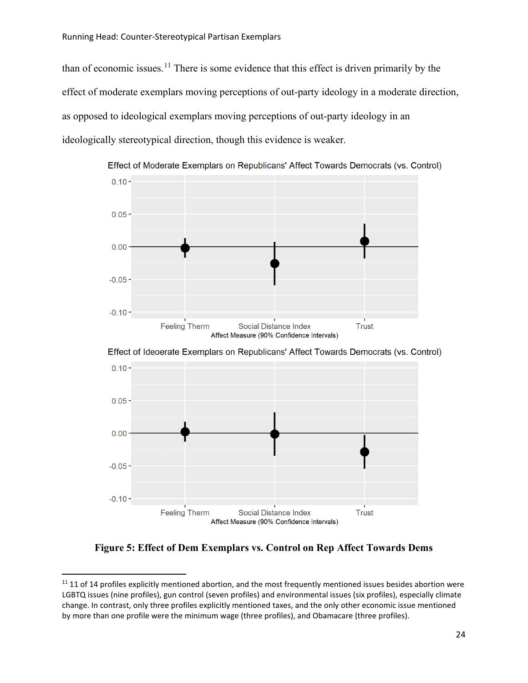than of economic issues.<sup>[11](#page-23-0)</sup> There is some evidence that this effect is driven primarily by the effect of moderate exemplars moving perceptions of out-party ideology in a moderate direction, as opposed to ideological exemplars moving perceptions of out-party ideology in an ideologically stereotypical direction, though this evidence is weaker.



Effect of Ideoerate Exemplars on Republicans' Affect Towards Democrats (vs. Control)



**Figure 5: Effect of Dem Exemplars vs. Control on Rep Affect Towards Dems**

<span id="page-23-0"></span> $11$  11 of 14 profiles explicitly mentioned abortion, and the most frequently mentioned issues besides abortion were LGBTQ issues (nine profiles), gun control (seven profiles) and environmental issues (six profiles), especially climate change. In contrast, only three profiles explicitly mentioned taxes, and the only other economic issue mentioned by more than one profile were the minimum wage (three profiles), and Obamacare (three profiles).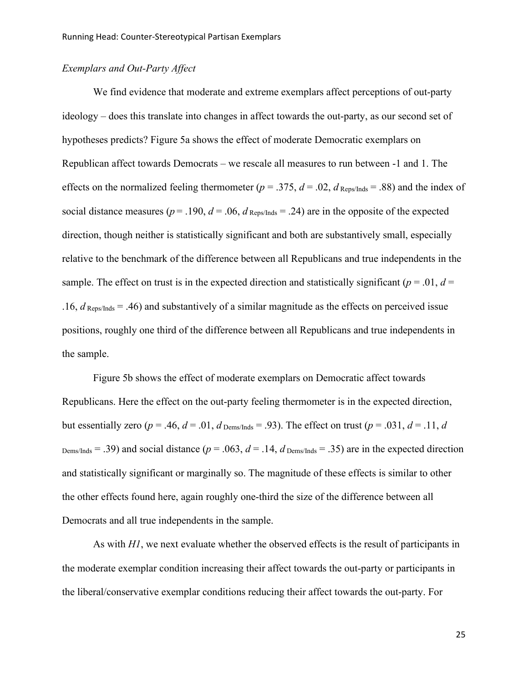## *Exemplars and Out-Party Affect*

We find evidence that moderate and extreme exemplars affect perceptions of out-party ideology – does this translate into changes in affect towards the out-party, as our second set of hypotheses predicts? Figure 5a shows the effect of moderate Democratic exemplars on Republican affect towards Democrats – we rescale all measures to run between -1 and 1. The effects on the normalized feeling thermometer ( $p = .375$ ,  $d = .02$ ,  $d$  Reps/Inds = .88) and the index of social distance measures ( $p = .190$ ,  $d = .06$ ,  $d_{\text{Reps/Inds}} = .24$ ) are in the opposite of the expected direction, though neither is statistically significant and both are substantively small, especially relative to the benchmark of the difference between all Republicans and true independents in the sample. The effect on trust is in the expected direction and statistically significant ( $p = .01$ ,  $d =$  $.16$ ,  $d$ <sub>Reps/Inds</sub> = .46) and substantively of a similar magnitude as the effects on perceived issue positions, roughly one third of the difference between all Republicans and true independents in the sample.

Figure 5b shows the effect of moderate exemplars on Democratic affect towards Republicans. Here the effect on the out-party feeling thermometer is in the expected direction, but essentially zero ( $p = .46$ ,  $d = .01$ ,  $d$  Dems/Inds = .93). The effect on trust ( $p = .031$ ,  $d = .11$ ,  $d$ Dems/Inds = .39) and social distance ( $p = .063$ ,  $d = .14$ ,  $d$  Dems/Inds = .35) are in the expected direction and statistically significant or marginally so. The magnitude of these effects is similar to other the other effects found here, again roughly one-third the size of the difference between all Democrats and all true independents in the sample.

As with *H1*, we next evaluate whether the observed effects is the result of participants in the moderate exemplar condition increasing their affect towards the out-party or participants in the liberal/conservative exemplar conditions reducing their affect towards the out-party. For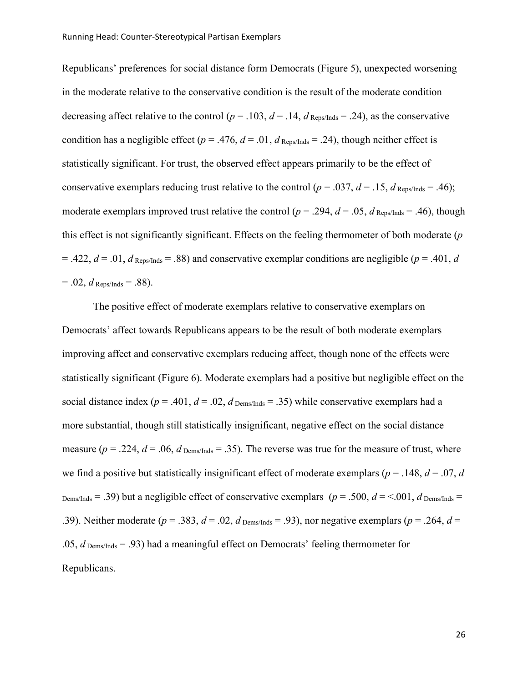Republicans' preferences for social distance form Democrats (Figure 5), unexpected worsening in the moderate relative to the conservative condition is the result of the moderate condition decreasing affect relative to the control ( $p = .103$ ,  $d = .14$ ,  $d$  Reps/Inds = .24), as the conservative condition has a negligible effect ( $p = .476$ ,  $d = .01$ ,  $d$  Reps/Inds = .24), though neither effect is statistically significant. For trust, the observed effect appears primarily to be the effect of conservative exemplars reducing trust relative to the control ( $p = .037$ ,  $d = .15$ ,  $d$  Reps/Inds = .46); moderate exemplars improved trust relative the control ( $p = .294$ ,  $d = .05$ ,  $d_{\text{Reps/Inds}} = .46$ ), though this effect is not significantly significant. Effects on the feeling thermometer of both moderate (*p*  $=$  .422,  $d = .01$ ,  $d$  Reps/Inds = .88) and conservative exemplar conditions are negligible ( $p = .401$ ,  $d$  $= .02$ , *d* Reps/Inds  $= .88$ ).

The positive effect of moderate exemplars relative to conservative exemplars on Democrats' affect towards Republicans appears to be the result of both moderate exemplars improving affect and conservative exemplars reducing affect, though none of the effects were statistically significant (Figure 6). Moderate exemplars had a positive but negligible effect on the social distance index ( $p = .401$ ,  $d = .02$ ,  $d$  <sub>Dems/Inds</sub> = .35) while conservative exemplars had a more substantial, though still statistically insignificant, negative effect on the social distance measure ( $p = .224$ ,  $d = .06$ ,  $d$  <sub>Dems/Inds</sub> = .35). The reverse was true for the measure of trust, where we find a positive but statistically insignificant effect of moderate exemplars ( $p = .148$ ,  $d = .07$ , *d* Dems/Inds = .39) but a negligible effect of conservative exemplars ( $p = .500$ ,  $d = < .001$ ,  $d$  Dems/Inds = .39). Neither moderate ( $p = .383$ ,  $d = .02$ ,  $d$  <sub>Dems/Inds</sub> = .93), nor negative exemplars ( $p = .264$ ,  $d =$ .05,  $d$  <sub>Dems/Inds</sub> = .93) had a meaningful effect on Democrats' feeling thermometer for Republicans.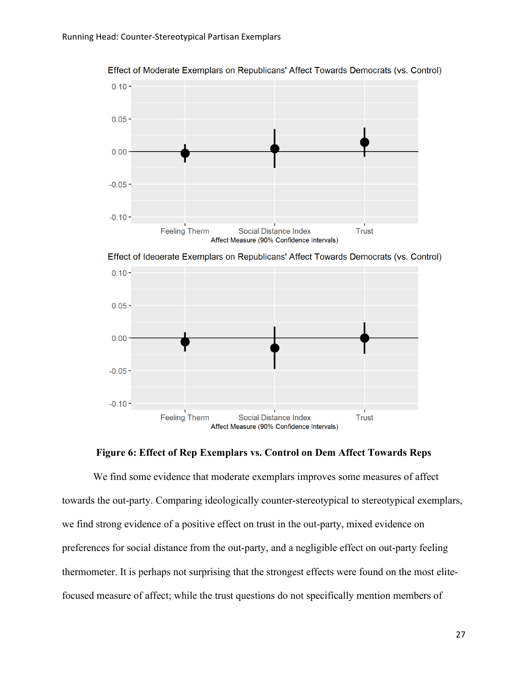

Effect of Moderate Exemplars on Republicans' Affect Towards Democrats (vs. Control)

Effect of Ideoerate Exemplars on Republicans' Affect Towards Democrats (vs. Control)



## **Figure 6: Effect of Rep Exemplars vs. Control on Dem Affect Towards Reps**

We find some evidence that moderate exemplars improves some measures of affect towards the out-party. Comparing ideologically counter-stereotypical to stereotypical exemplars, we find strong evidence of a positive effect on trust in the out-party, mixed evidence on preferences for social distance from the out-party, and a negligible effect on out-party feeling thermometer. It is perhaps not surprising that the strongest effects were found on the most elitefocused measure of affect; while the trust questions do not specifically mention members of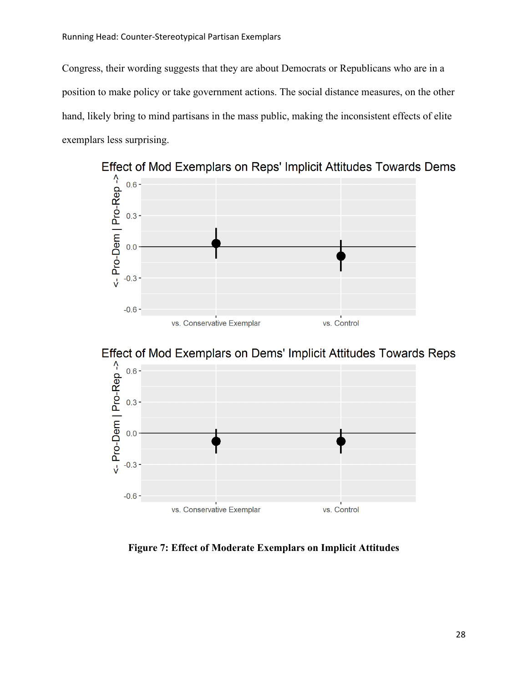Congress, their wording suggests that they are about Democrats or Republicans who are in a position to make policy or take government actions. The social distance measures, on the other hand, likely bring to mind partisans in the mass public, making the inconsistent effects of elite exemplars less surprising.



Effect of Mod Exemplars on Dems' Implicit Attitudes Towards Reps



**Figure 7: Effect of Moderate Exemplars on Implicit Attitudes**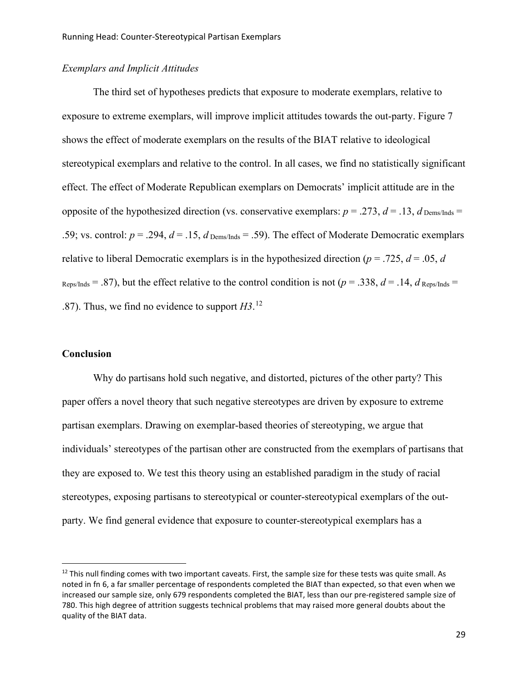## *Exemplars and Implicit Attitudes*

The third set of hypotheses predicts that exposure to moderate exemplars, relative to exposure to extreme exemplars, will improve implicit attitudes towards the out-party. Figure 7 shows the effect of moderate exemplars on the results of the BIAT relative to ideological stereotypical exemplars and relative to the control. In all cases, we find no statistically significant effect. The effect of Moderate Republican exemplars on Democrats' implicit attitude are in the opposite of the hypothesized direction (vs. conservative exemplars:  $p = .273$ ,  $d = .13$ ,  $d_{\text{Dems/Inds}} =$ .59; vs. control:  $p = .294$ ,  $d = .15$ ,  $d_{Dems/Inds} = .59$ ). The effect of Moderate Democratic exemplars relative to liberal Democratic exemplars is in the hypothesized direction ( $p = .725$ ,  $d = .05$ , *d*  $R_{\text{eps/Inds}} = .87$ , but the effect relative to the control condition is not ( $p = .338$ ,  $d = .14$ ,  $d_{\text{Reps/Inds}} =$ .87). Thus, we find no evidence to support *H3*. [12](#page-28-0)

## **Conclusion**

Why do partisans hold such negative, and distorted, pictures of the other party? This paper offers a novel theory that such negative stereotypes are driven by exposure to extreme partisan exemplars. Drawing on exemplar-based theories of stereotyping, we argue that individuals' stereotypes of the partisan other are constructed from the exemplars of partisans that they are exposed to. We test this theory using an established paradigm in the study of racial stereotypes, exposing partisans to stereotypical or counter-stereotypical exemplars of the outparty. We find general evidence that exposure to counter-stereotypical exemplars has a

<span id="page-28-0"></span> $12$  This null finding comes with two important caveats. First, the sample size for these tests was quite small. As noted in fn 6, a far smaller percentage of respondents completed the BIAT than expected, so that even when we increased our sample size, only 679 respondents completed the BIAT, less than our pre-registered sample size of 780. This high degree of attrition suggests technical problems that may raised more general doubts about the quality of the BIAT data.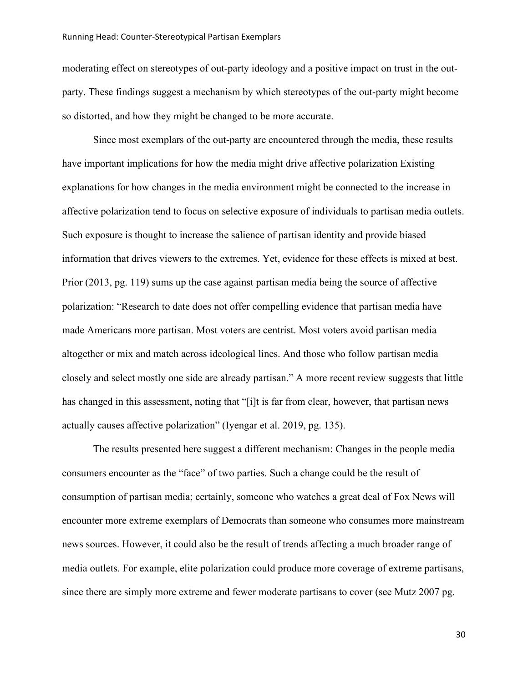moderating effect on stereotypes of out-party ideology and a positive impact on trust in the outparty. These findings suggest a mechanism by which stereotypes of the out-party might become so distorted, and how they might be changed to be more accurate.

Since most exemplars of the out-party are encountered through the media, these results have important implications for how the media might drive affective polarization Existing explanations for how changes in the media environment might be connected to the increase in affective polarization tend to focus on selective exposure of individuals to partisan media outlets. Such exposure is thought to increase the salience of partisan identity and provide biased information that drives viewers to the extremes. Yet, evidence for these effects is mixed at best. Prior (2013, pg. 119) sums up the case against partisan media being the source of affective polarization: "Research to date does not offer compelling evidence that partisan media have made Americans more partisan. Most voters are centrist. Most voters avoid partisan media altogether or mix and match across ideological lines. And those who follow partisan media closely and select mostly one side are already partisan." A more recent review suggests that little has changed in this assessment, noting that "[i]t is far from clear, however, that partisan news actually causes affective polarization" (Iyengar et al. 2019, pg. 135).

The results presented here suggest a different mechanism: Changes in the people media consumers encounter as the "face" of two parties. Such a change could be the result of consumption of partisan media; certainly, someone who watches a great deal of Fox News will encounter more extreme exemplars of Democrats than someone who consumes more mainstream news sources. However, it could also be the result of trends affecting a much broader range of media outlets. For example, elite polarization could produce more coverage of extreme partisans, since there are simply more extreme and fewer moderate partisans to cover (see Mutz 2007 pg.

30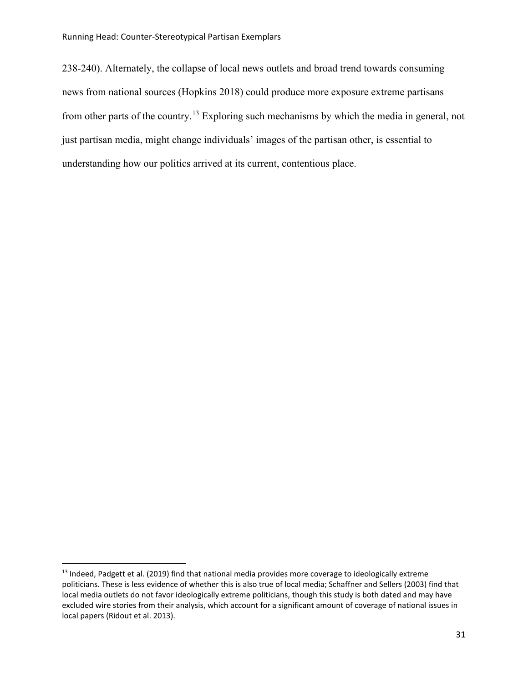238-240). Alternately, the collapse of local news outlets and broad trend towards consuming news from national sources (Hopkins 2018) could produce more exposure extreme partisans from other parts of the country.[13](#page-30-0) Exploring such mechanisms by which the media in general, not just partisan media, might change individuals' images of the partisan other, is essential to understanding how our politics arrived at its current, contentious place.

<span id="page-30-0"></span> $13$  Indeed, Padgett et al. (2019) find that national media provides more coverage to ideologically extreme politicians. These is less evidence of whether this is also true of local media; Schaffner and Sellers (2003) find that local media outlets do not favor ideologically extreme politicians, though this study is both dated and may have excluded wire stories from their analysis, which account for a significant amount of coverage of national issues in local papers (Ridout et al. 2013).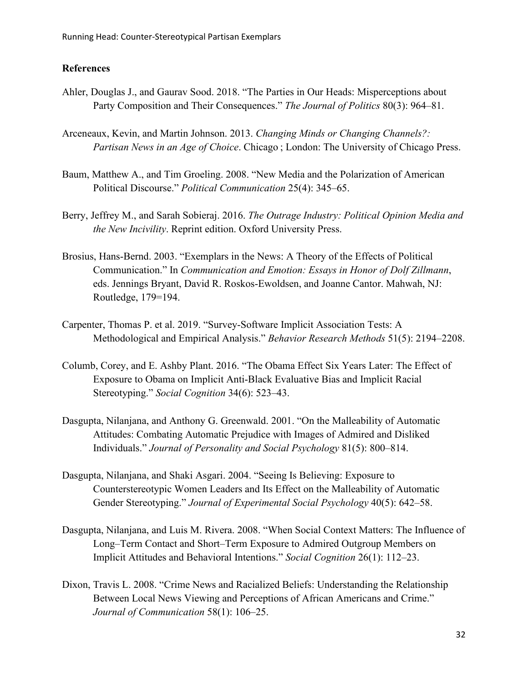## **References**

- Ahler, Douglas J., and Gaurav Sood. 2018. "The Parties in Our Heads: Misperceptions about Party Composition and Their Consequences." *The Journal of Politics* 80(3): 964–81.
- Arceneaux, Kevin, and Martin Johnson. 2013. *Changing Minds or Changing Channels?: Partisan News in an Age of Choice*. Chicago ; London: The University of Chicago Press.
- Baum, Matthew A., and Tim Groeling. 2008. "New Media and the Polarization of American Political Discourse." *Political Communication* 25(4): 345–65.
- Berry, Jeffrey M., and Sarah Sobieraj. 2016. *The Outrage Industry: Political Opinion Media and the New Incivility*. Reprint edition. Oxford University Press.
- Brosius, Hans-Bernd. 2003. "Exemplars in the News: A Theory of the Effects of Political Communication." In *Communication and Emotion: Essays in Honor of Dolf Zillmann*, eds. Jennings Bryant, David R. Roskos-Ewoldsen, and Joanne Cantor. Mahwah, NJ: Routledge, 179=194.
- Carpenter, Thomas P. et al. 2019. "Survey-Software Implicit Association Tests: A Methodological and Empirical Analysis." *Behavior Research Methods* 51(5): 2194–2208.
- Columb, Corey, and E. Ashby Plant. 2016. "The Obama Effect Six Years Later: The Effect of Exposure to Obama on Implicit Anti-Black Evaluative Bias and Implicit Racial Stereotyping." *Social Cognition* 34(6): 523–43.
- Dasgupta, Nilanjana, and Anthony G. Greenwald. 2001. "On the Malleability of Automatic Attitudes: Combating Automatic Prejudice with Images of Admired and Disliked Individuals." *Journal of Personality and Social Psychology* 81(5): 800–814.
- Dasgupta, Nilanjana, and Shaki Asgari. 2004. "Seeing Is Believing: Exposure to Counterstereotypic Women Leaders and Its Effect on the Malleability of Automatic Gender Stereotyping." *Journal of Experimental Social Psychology* 40(5): 642–58.
- Dasgupta, Nilanjana, and Luis M. Rivera. 2008. "When Social Context Matters: The Influence of Long–Term Contact and Short–Term Exposure to Admired Outgroup Members on Implicit Attitudes and Behavioral Intentions." *Social Cognition* 26(1): 112–23.
- Dixon, Travis L. 2008. "Crime News and Racialized Beliefs: Understanding the Relationship Between Local News Viewing and Perceptions of African Americans and Crime." *Journal of Communication* 58(1): 106–25.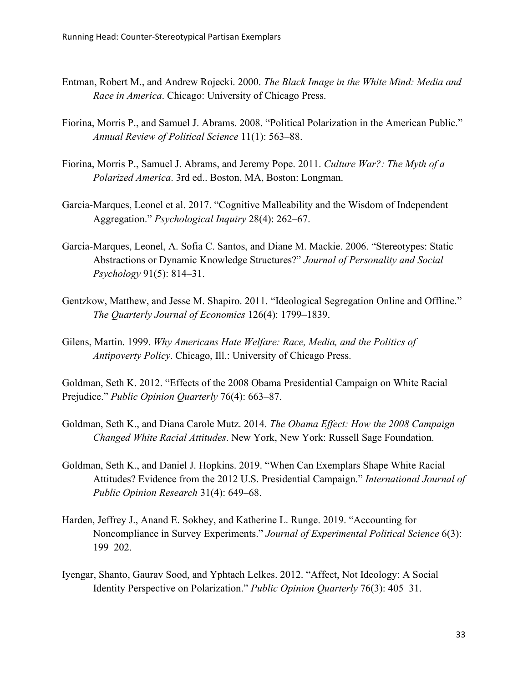- Entman, Robert M., and Andrew Rojecki. 2000. *The Black Image in the White Mind: Media and Race in America*. Chicago: University of Chicago Press.
- Fiorina, Morris P., and Samuel J. Abrams. 2008. "Political Polarization in the American Public." *Annual Review of Political Science* 11(1): 563–88.
- Fiorina, Morris P., Samuel J. Abrams, and Jeremy Pope. 2011. *Culture War?: The Myth of a Polarized America*. 3rd ed.. Boston, MA, Boston: Longman.
- Garcia-Marques, Leonel et al. 2017. "Cognitive Malleability and the Wisdom of Independent Aggregation." *Psychological Inquiry* 28(4): 262–67.
- Garcia-Marques, Leonel, A. Sofia C. Santos, and Diane M. Mackie. 2006. "Stereotypes: Static Abstractions or Dynamic Knowledge Structures?" *Journal of Personality and Social Psychology* 91(5): 814–31.
- Gentzkow, Matthew, and Jesse M. Shapiro. 2011. "Ideological Segregation Online and Offline." *The Quarterly Journal of Economics* 126(4): 1799–1839.
- Gilens, Martin. 1999. *Why Americans Hate Welfare: Race, Media, and the Politics of Antipoverty Policy*. Chicago, Ill.: University of Chicago Press.

Goldman, Seth K. 2012. "Effects of the 2008 Obama Presidential Campaign on White Racial Prejudice." *Public Opinion Quarterly* 76(4): 663–87.

- Goldman, Seth K., and Diana Carole Mutz. 2014. *The Obama Effect: How the 2008 Campaign Changed White Racial Attitudes*. New York, New York: Russell Sage Foundation.
- Goldman, Seth K., and Daniel J. Hopkins. 2019. "When Can Exemplars Shape White Racial Attitudes? Evidence from the 2012 U.S. Presidential Campaign." *International Journal of Public Opinion Research* 31(4): 649–68.
- Harden, Jeffrey J., Anand E. Sokhey, and Katherine L. Runge. 2019. "Accounting for Noncompliance in Survey Experiments." *Journal of Experimental Political Science* 6(3): 199–202.
- Iyengar, Shanto, Gaurav Sood, and Yphtach Lelkes. 2012. "Affect, Not Ideology: A Social Identity Perspective on Polarization." *Public Opinion Quarterly* 76(3): 405–31.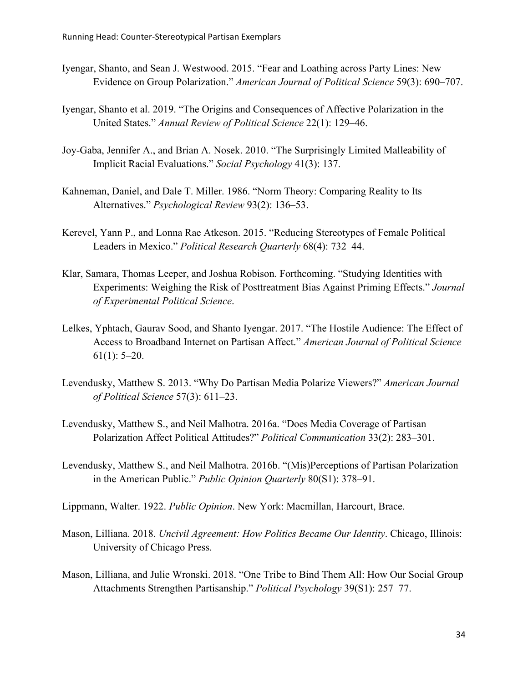- Iyengar, Shanto, and Sean J. Westwood. 2015. "Fear and Loathing across Party Lines: New Evidence on Group Polarization." *American Journal of Political Science* 59(3): 690–707.
- Iyengar, Shanto et al. 2019. "The Origins and Consequences of Affective Polarization in the United States." *Annual Review of Political Science* 22(1): 129–46.
- Joy-Gaba, Jennifer A., and Brian A. Nosek. 2010. "The Surprisingly Limited Malleability of Implicit Racial Evaluations." *Social Psychology* 41(3): 137.
- Kahneman, Daniel, and Dale T. Miller. 1986. "Norm Theory: Comparing Reality to Its Alternatives." *Psychological Review* 93(2): 136–53.
- Kerevel, Yann P., and Lonna Rae Atkeson. 2015. "Reducing Stereotypes of Female Political Leaders in Mexico." *Political Research Quarterly* 68(4): 732–44.
- Klar, Samara, Thomas Leeper, and Joshua Robison. Forthcoming. "Studying Identities with Experiments: Weighing the Risk of Posttreatment Bias Against Priming Effects." *Journal of Experimental Political Science*.
- Lelkes, Yphtach, Gaurav Sood, and Shanto Iyengar. 2017. "The Hostile Audience: The Effect of Access to Broadband Internet on Partisan Affect." *American Journal of Political Science*  $61(1): 5-20.$
- Levendusky, Matthew S. 2013. "Why Do Partisan Media Polarize Viewers?" *American Journal of Political Science* 57(3): 611–23.
- Levendusky, Matthew S., and Neil Malhotra. 2016a. "Does Media Coverage of Partisan Polarization Affect Political Attitudes?" *Political Communication* 33(2): 283–301.
- Levendusky, Matthew S., and Neil Malhotra. 2016b. "(Mis)Perceptions of Partisan Polarization in the American Public." *Public Opinion Quarterly* 80(S1): 378–91.
- Lippmann, Walter. 1922. *Public Opinion*. New York: Macmillan, Harcourt, Brace.
- Mason, Lilliana. 2018. *Uncivil Agreement: How Politics Became Our Identity*. Chicago, Illinois: University of Chicago Press.
- Mason, Lilliana, and Julie Wronski. 2018. "One Tribe to Bind Them All: How Our Social Group Attachments Strengthen Partisanship." *Political Psychology* 39(S1): 257–77.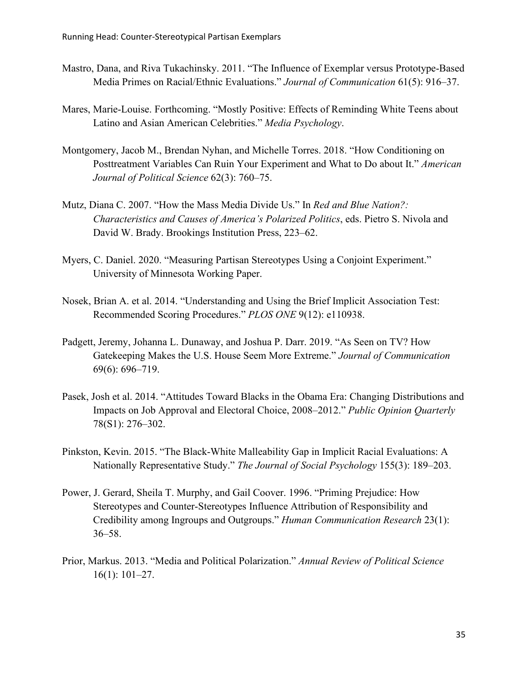- Mastro, Dana, and Riva Tukachinsky. 2011. "The Influence of Exemplar versus Prototype-Based Media Primes on Racial/Ethnic Evaluations." *Journal of Communication* 61(5): 916–37.
- Mares, Marie-Louise. Forthcoming. "Mostly Positive: Effects of Reminding White Teens about Latino and Asian American Celebrities." *Media Psychology*.
- Montgomery, Jacob M., Brendan Nyhan, and Michelle Torres. 2018. "How Conditioning on Posttreatment Variables Can Ruin Your Experiment and What to Do about It." *American Journal of Political Science* 62(3): 760–75.
- Mutz, Diana C. 2007. "How the Mass Media Divide Us." In *Red and Blue Nation?: Characteristics and Causes of America's Polarized Politics*, eds. Pietro S. Nivola and David W. Brady. Brookings Institution Press, 223–62.
- Myers, C. Daniel. 2020. "Measuring Partisan Stereotypes Using a Conjoint Experiment." University of Minnesota Working Paper.
- Nosek, Brian A. et al. 2014. "Understanding and Using the Brief Implicit Association Test: Recommended Scoring Procedures." *PLOS ONE* 9(12): e110938.
- Padgett, Jeremy, Johanna L. Dunaway, and Joshua P. Darr. 2019. "As Seen on TV? How Gatekeeping Makes the U.S. House Seem More Extreme." *Journal of Communication* 69(6): 696–719.
- Pasek, Josh et al. 2014. "Attitudes Toward Blacks in the Obama Era: Changing Distributions and Impacts on Job Approval and Electoral Choice, 2008–2012." *Public Opinion Quarterly* 78(S1): 276–302.
- Pinkston, Kevin. 2015. "The Black-White Malleability Gap in Implicit Racial Evaluations: A Nationally Representative Study." *The Journal of Social Psychology* 155(3): 189–203.
- Power, J. Gerard, Sheila T. Murphy, and Gail Coover. 1996. "Priming Prejudice: How Stereotypes and Counter-Stereotypes Influence Attribution of Responsibility and Credibility among Ingroups and Outgroups." *Human Communication Research* 23(1): 36–58.
- Prior, Markus. 2013. "Media and Political Polarization." *Annual Review of Political Science* 16(1): 101–27.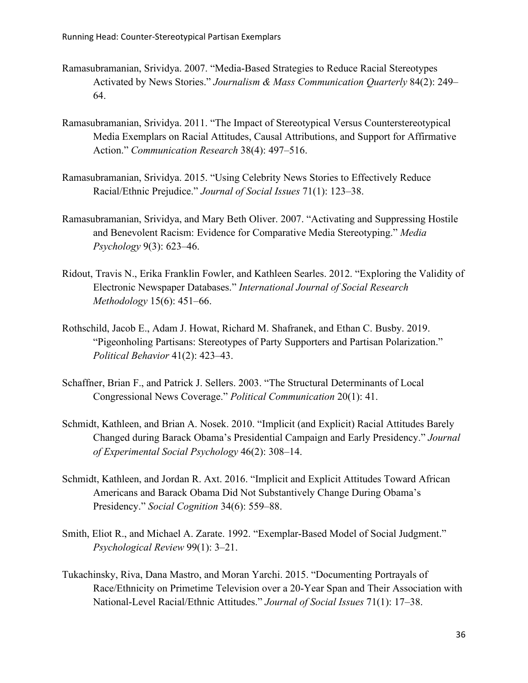- Ramasubramanian, Srividya. 2007. "Media-Based Strategies to Reduce Racial Stereotypes Activated by News Stories." *Journalism & Mass Communication Quarterly* 84(2): 249– 64.
- Ramasubramanian, Srividya. 2011. "The Impact of Stereotypical Versus Counterstereotypical Media Exemplars on Racial Attitudes, Causal Attributions, and Support for Affirmative Action." *Communication Research* 38(4): 497–516.
- Ramasubramanian, Srividya. 2015. "Using Celebrity News Stories to Effectively Reduce Racial/Ethnic Prejudice." *Journal of Social Issues* 71(1): 123–38.
- Ramasubramanian, Srividya, and Mary Beth Oliver. 2007. "Activating and Suppressing Hostile and Benevolent Racism: Evidence for Comparative Media Stereotyping." *Media Psychology* 9(3): 623–46.
- Ridout, Travis N., Erika Franklin Fowler, and Kathleen Searles. 2012. "Exploring the Validity of Electronic Newspaper Databases." *International Journal of Social Research Methodology* 15(6): 451–66.
- Rothschild, Jacob E., Adam J. Howat, Richard M. Shafranek, and Ethan C. Busby. 2019. "Pigeonholing Partisans: Stereotypes of Party Supporters and Partisan Polarization." *Political Behavior* 41(2): 423–43.
- Schaffner, Brian F., and Patrick J. Sellers. 2003. "The Structural Determinants of Local Congressional News Coverage." *Political Communication* 20(1): 41.
- Schmidt, Kathleen, and Brian A. Nosek. 2010. "Implicit (and Explicit) Racial Attitudes Barely Changed during Barack Obama's Presidential Campaign and Early Presidency." *Journal of Experimental Social Psychology* 46(2): 308–14.
- Schmidt, Kathleen, and Jordan R. Axt. 2016. "Implicit and Explicit Attitudes Toward African Americans and Barack Obama Did Not Substantively Change During Obama's Presidency." *Social Cognition* 34(6): 559–88.
- Smith, Eliot R., and Michael A. Zarate. 1992. "Exemplar-Based Model of Social Judgment." *Psychological Review* 99(1): 3–21.
- Tukachinsky, Riva, Dana Mastro, and Moran Yarchi. 2015. "Documenting Portrayals of Race/Ethnicity on Primetime Television over a 20-Year Span and Their Association with National-Level Racial/Ethnic Attitudes." *Journal of Social Issues* 71(1): 17–38.